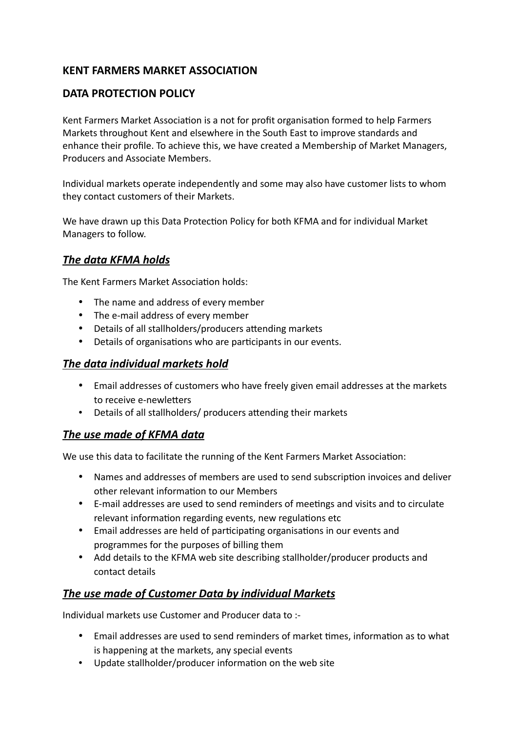## **KENT FARMERS MARKET ASSOCIATION**

### **DATA PROTECTION POLICY**

Kent Farmers Market Association is a not for profit organisation formed to help Farmers Markets throughout Kent and elsewhere in the South East to improve standards and enhance their profile. To achieve this, we have created a Membership of Market Managers, Producers and Associate Members.

Individual markets operate independently and some may also have customer lists to whom they contact customers of their Markets.

We have drawn up this Data Protection Policy for both KFMA and for individual Market Managers to follow.

### *The data KFMA holds*

The Kent Farmers Market Association holds:

- The name and address of every member
- The e-mail address of every member
- Details of all stallholders/producers attending markets
- Details of organisations who are participants in our events.

#### *The data individual markets hold*

- Email addresses of customers who have freely given email addresses at the markets to receive e-newletters
- Details of all stallholders/ producers attending their markets

### *The use made of KFMA data*

We use this data to facilitate the running of the Kent Farmers Market Association:

- Names and addresses of members are used to send subscription invoices and deliver other relevant information to our Members
- E-mail addresses are used to send reminders of meetings and visits and to circulate relevant information regarding events, new regulations etc
- Email addresses are held of participating organisations in our events and programmes for the purposes of billing them
- Add details to the KFMA web site describing stallholder/producer products and contact details

### *The use made of Customer Data by individual Markets*

Individual markets use Customer and Producer data to :-

- Email addresses are used to send reminders of market times, information as to what is happening at the markets, any special events
- Update stallholder/producer information on the web site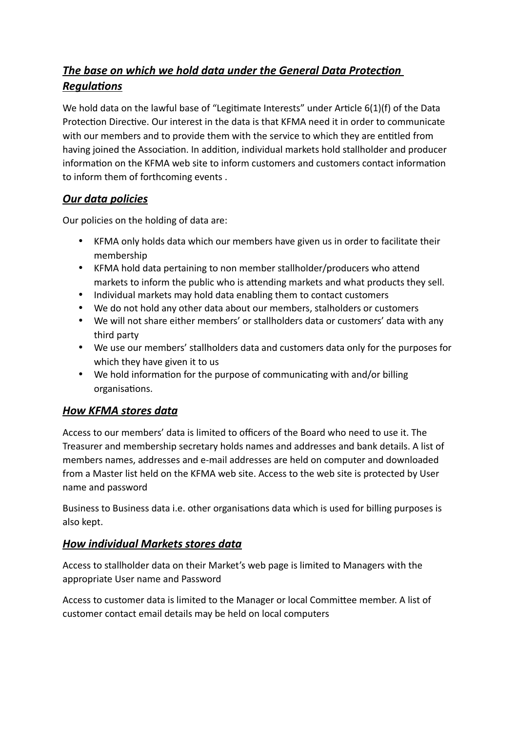# *The base on which we hold data under the General Data Protection Regulations*

We hold data on the lawful base of "Legitimate Interests" under Article 6(1)(f) of the Data Protection Directive. Our interest in the data is that KFMA need it in order to communicate with our members and to provide them with the service to which they are entitled from having joined the Association. In addition, individual markets hold stallholder and producer information on the KFMA web site to inform customers and customers contact information to inform them of forthcoming events .

# *Our data policies*

Our policies on the holding of data are:

- KFMA only holds data which our members have given us in order to facilitate their membership
- KFMA hold data pertaining to non member stallholder/producers who attend markets to inform the public who is attending markets and what products they sell.
- Individual markets may hold data enabling them to contact customers
- We do not hold any other data about our members, stalholders or customers
- We will not share either members' or stallholders data or customers' data with any third party
- We use our members' stallholders data and customers data only for the purposes for which they have given it to us
- We hold information for the purpose of communicating with and/or billing organisations.

## *How KFMA stores data*

Access to our members' data is limited to officers of the Board who need to use it. The Treasurer and membership secretary holds names and addresses and bank details. A list of members names, addresses and e-mail addresses are held on computer and downloaded from a Master list held on the KFMA web site. Access to the web site is protected by User name and password

Business to Business data i.e. other organisations data which is used for billing purposes is also kept.

# *How individual Markets stores data*

Access to stallholder data on their Market's web page is limited to Managers with the appropriate User name and Password

Access to customer data is limited to the Manager or local Committee member. A list of customer contact email details may be held on local computers